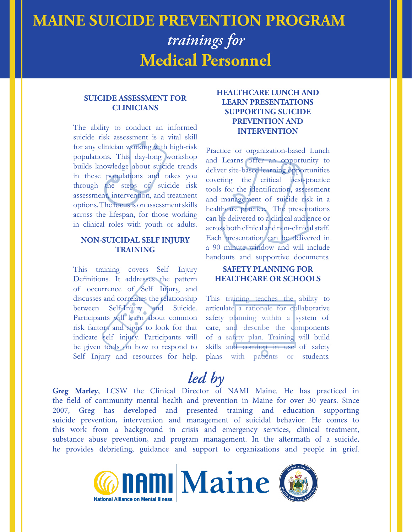# **MAINE SUICIDE PREVENTION PROGRAM** *trainings for* **Medical Personnel**

#### **SUICIDE ASSESSMENT FOR CLINICIANS**

The ability to conduct an informed suicide risk assessment is a vital skill for any clinician working with high-risk populations. This day-long workshop builds knowledge about suicide trends in these populations and takes you through the steps of suicide risk assessment, intervention, and treatment options. The focus is on assessment skills across the lifespan, for those working in clinical roles with youth or adults.

#### **NON-SUICIDAL SELF INJURY TRAINING**

This training covers Self Injury Definitions. It addresses the pattern of occurrence of Self Injury, and discusses and correlates the relationship between Self-Injury and Suicide. Participants will learn about common risk factors and signs to look for that indicate self injury. Participants will be given tools on how to respond to Self Injury and resources for help.

## **HEALTHCARE LUNCH AND LEARN PRESENTATIONS SUPPORTING SUICIDE PREVENTION AND INTERVENTION**

Practice or organization-based Lunch and Learns offer an opportunity to deliver site-based learning opportunities covering the critical best-practice tools for the identification, assessment and management of suicide risk in a healthcare practice. The presentations can be delivered to a clinical audience or across both clinical and non-clinical staff. Each presentation can be delivered in a 90 minute window and will include handouts and supportive documents.

### **SAFETY PLANNING FOR HEALTHCARE OR SCHOOLS**

This training teaches the ability to articulate a rationale for collaborative safety planning within a system of care, and describe the components of a safety plan. Training will build skills and comfort in use of safety plans with patients or students.

# *led by*

**Greg Marley**, LCSW the Clinical Director of NAMI Maine. He has practiced in the field of community mental health and prevention in Maine for over 30 years. Since 2007, Greg has developed and presented training and education supporting suicide prevention, intervention and management of suicidal behavior. He comes to this work from a background in crisis and emergency services, clinical treatment, substance abuse prevention, and program management. In the aftermath of a suicide, he provides debriefing, guidance and support to organizations and people in grief.